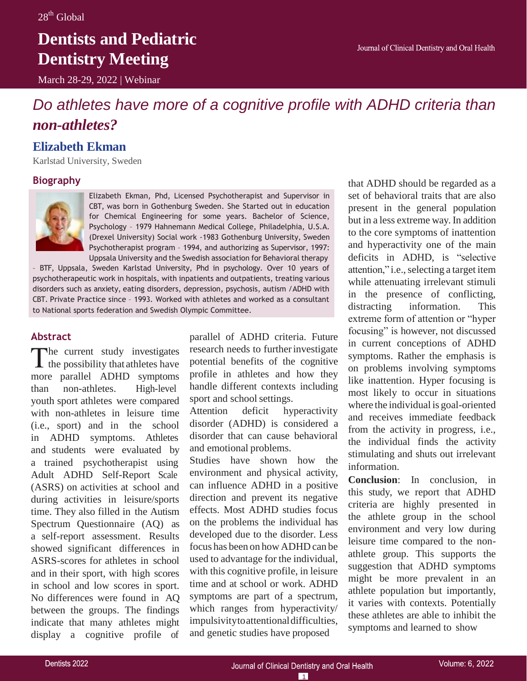## **Dentists and Pediatric Dentistry Meeting**

March 28-29, 2022 | Webinar

### *Do athletes have more of a cognitive profile with ADHD criteria than non-athletes?*

### **Elizabeth Ekman**

Karlstad University, Sweden

### **Biography**



Elizabeth Ekman, Phd, Licensed Psychotherapist and Supervisor in CBT, was born in Gothenburg Sweden. She Started out in education for Chemical Engineering for some years. Bachelor of Science, Psychology – 1979 Hahnemann Medical College, Philadelphia, U.S.A. (Drexel University) Social work -1983 Gothenburg University, Sweden Psychotherapist program – 1994, and authorizing as Supervisor, 1997: Uppsala University and the Swedish association for Behavioral therapy

– BTF, Uppsala, Sweden Karlstad University, Phd in psychology. Over 10 years of psychotherapeutic work in hospitals, with inpatients and outpatients, treating various disorders such as anxiety, eating disorders, depression, psychosis, autism /ADHD with CBT. Private Practice since – 1993. Worked with athletes and worked as a consultant to National sports federation and Swedish Olympic Committee.

### **Abstract**

The current study investigates  $\perp$  the possibility that athletes have more parallel ADHD symptoms than non-athletes. High-level youth sport athletes were compared with non-athletes in leisure time (i.e., sport) and in the school in ADHD symptoms. Athletes and students were evaluated by a trained psychotherapist using Adult ADHD Self-Report Scale (ASRS) on activities at school and during activities in leisure/sports time. They also filled in the Autism Spectrum Questionnaire (AQ) as a self-report assessment. Results showed significant differences in ASRS-scores for athletes in school and in their sport, with high scores in school and low scores in sport. No differences were found in AQ between the groups. The findings indicate that many athletes might display a cognitive profile of

parallel of ADHD criteria. Future research needs to further investigate potential benefits of the cognitive profile in athletes and how they handle different contexts including sport and school settings.

Attention deficit hyperactivity disorder (ADHD) is considered a disorder that can cause behavioral and emotional problems.

Studies have shown how the environment and physical activity, can influence ADHD in a positive direction and prevent its negative effects. Most ADHD studies focus on the problems the individual has developed due to the disorder. Less focus has been on how ADHD can be used to advantage for the individual, with this cognitive profile, in leisure time and at school or work. ADHD symptoms are part of a spectrum, which ranges from hyperactivity/ impulsivitytoattentionaldifficulties, and genetic studies have proposed

that ADHD should be regarded as a set of behavioral traits that are also present in the general population but in a less extreme way. In addition to the core symptoms of inattention and hyperactivity one of the main deficits in ADHD, is "selective attention," i.e., selecting a target item while attenuating irrelevant stimuli in the presence of conflicting, distracting information. This extreme form of attention or "hyper focusing" is however, not discussed in current conceptions of ADHD symptoms. Rather the emphasis is on problems involving symptoms like inattention. Hyper focusing is most likely to occur in situations where the individual is goal-oriented and receives immediate feedback from the activity in progress, i.e., the individual finds the activity stimulating and shuts out irrelevant information.

**Conclusion**: In conclusion, in this study, we report that ADHD criteria are highly presented in the athlete group in the school environment and very low during leisure time compared to the nonathlete group. This supports the suggestion that ADHD symptoms might be more prevalent in an athlete population but importantly, it varies with contexts. Potentially these athletes are able to inhibit the symptoms and learned to show